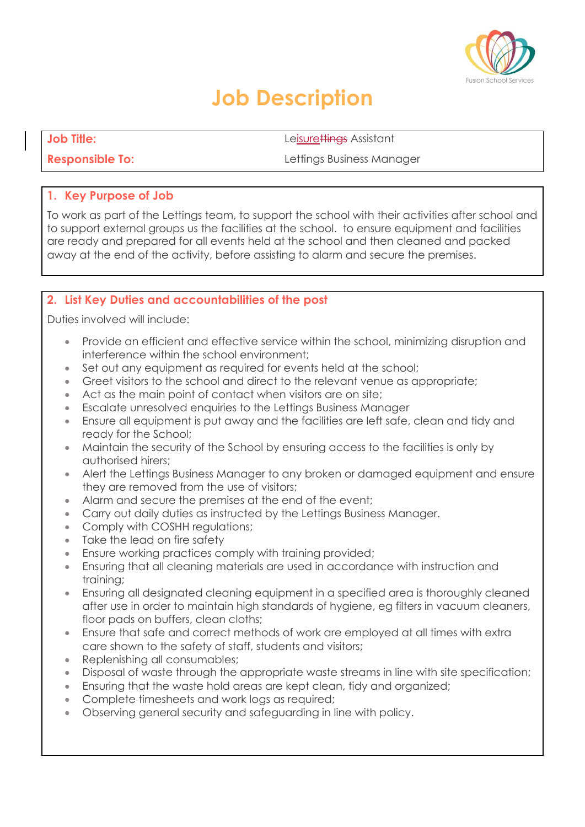

# **Job Description**

**Job Title:** Leisurettings Assistant

**Responsible To: Lettings Business Manager** 

### **1. Key Purpose of Job**

To work as part of the Lettings team, to support the school with their activities after school and to support external groups us the facilities at the school. to ensure equipment and facilities are ready and prepared for all events held at the school and then cleaned and packed away at the end of the activity, before assisting to alarm and secure the premises.

# **2. List Key Duties and accountabilities of the post**

Duties involved will include:

- Provide an efficient and effective service within the school, minimizing disruption and interference within the school environment;
- Set out any equipment as required for events held at the school;
- Greet visitors to the school and direct to the relevant venue as appropriate;
- Act as the main point of contact when visitors are on site;
- Escalate unresolved enquiries to the Lettings Business Manager
- Ensure all equipment is put away and the facilities are left safe, clean and tidy and ready for the School;
- Maintain the security of the School by ensuring access to the facilities is only by authorised hirers;
- Alert the Lettings Business Manager to any broken or damaged equipment and ensure they are removed from the use of visitors;
- Alarm and secure the premises at the end of the event;
- Carry out daily duties as instructed by the Lettings Business Manager.
- Comply with COSHH regulations;
- Take the lead on fire safety
- Ensure working practices comply with training provided;
- Ensuring that all cleaning materials are used in accordance with instruction and training;
- Ensuring all designated cleaning equipment in a specified area is thoroughly cleaned after use in order to maintain high standards of hygiene, eg filters in vacuum cleaners, floor pads on buffers, clean cloths;
- Ensure that safe and correct methods of work are employed at all times with extra care shown to the safety of staff, students and visitors;
- Replenishing all consumables;
- Disposal of waste through the appropriate waste streams in line with site specification;
- Ensuring that the waste hold areas are kept clean, tidy and organized;
- Complete timesheets and work logs as required;
- Observing general security and safeguarding in line with policy.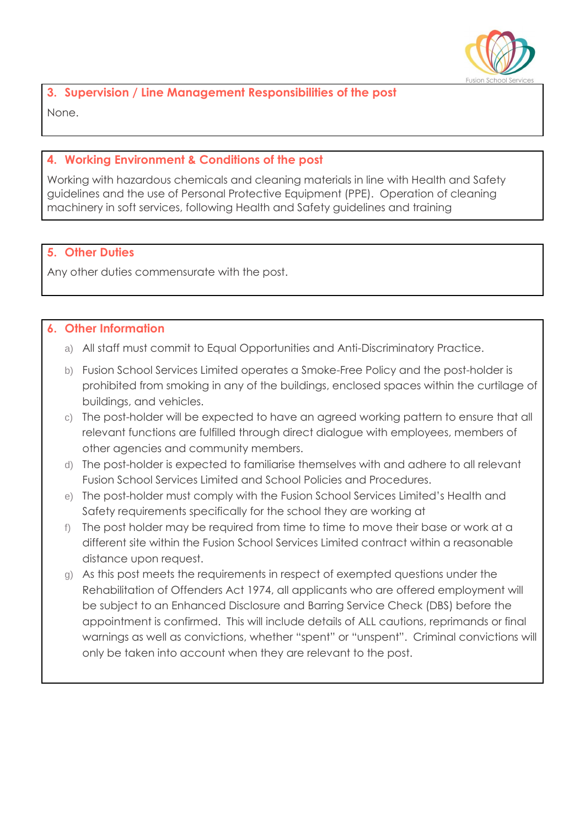

**3. Supervision / Line Management Responsibilities of the post**  None.

## **4. Working Environment & Conditions of the post**

Working with hazardous chemicals and cleaning materials in line with Health and Safety guidelines and the use of Personal Protective Equipment (PPE). Operation of cleaning machinery in soft services, following Health and Safety guidelines and training

### **5. Other Duties**

Any other duties commensurate with the post.

#### **6. Other Information**

- a) All staff must commit to Equal Opportunities and Anti-Discriminatory Practice.
- b) Fusion School Services Limited operates a Smoke-Free Policy and the post-holder is prohibited from smoking in any of the buildings, enclosed spaces within the curtilage of buildings, and vehicles.
- c) The post-holder will be expected to have an agreed working pattern to ensure that all relevant functions are fulfilled through direct dialogue with employees, members of other agencies and community members.
- d) The post-holder is expected to familiarise themselves with and adhere to all relevant Fusion School Services Limited and School Policies and Procedures.
- e) The post-holder must comply with the Fusion School Services Limited's Health and Safety requirements specifically for the school they are working at
- f) The post holder may be required from time to time to move their base or work at a different site within the Fusion School Services Limited contract within a reasonable distance upon request.
- g) As this post meets the requirements in respect of exempted questions under the Rehabilitation of Offenders Act 1974, all applicants who are offered employment will be subject to an Enhanced Disclosure and Barring Service Check (DBS) before the appointment is confirmed. This will include details of ALL cautions, reprimands or final warnings as well as convictions, whether "spent" or "unspent". Criminal convictions will only be taken into account when they are relevant to the post.